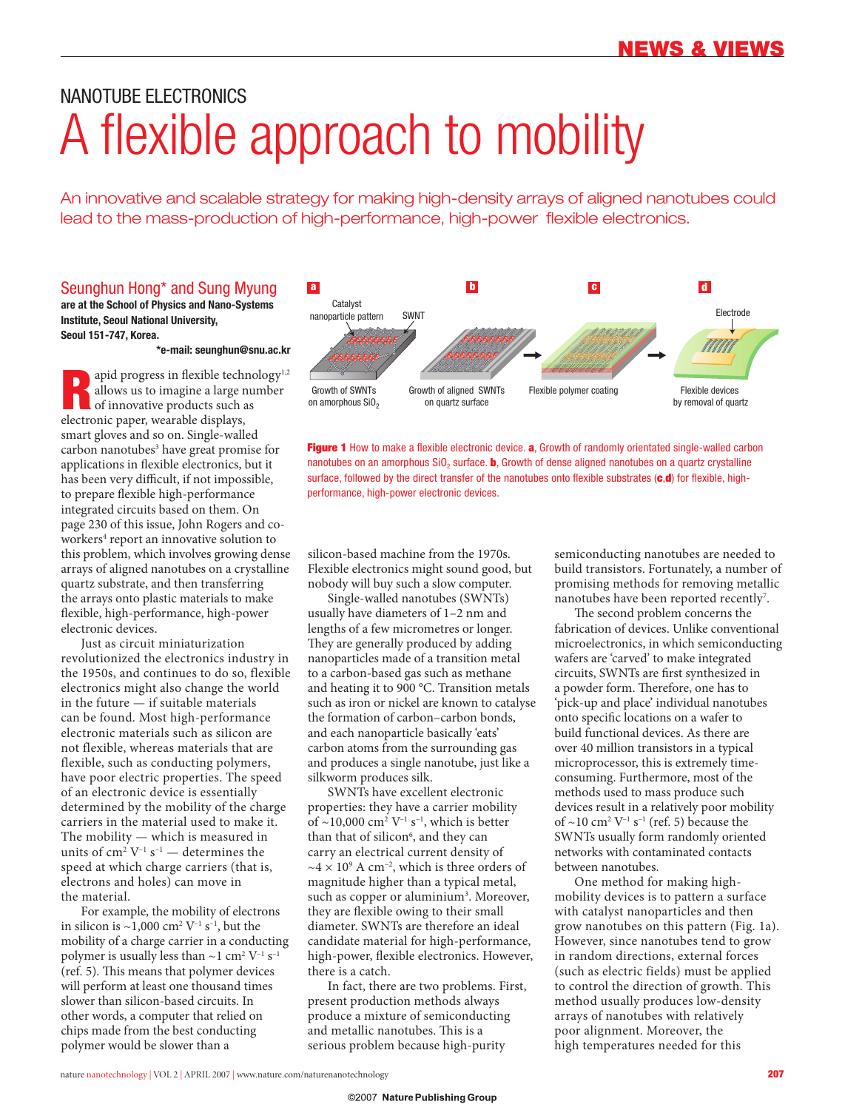# NANOTUBE ELECTRONICS A flexible approach to mobility

An innovative and scalable strategy for making high-density arrays of aligned nanotubes could lead to the mass-production of high-performance, high-power flexible electronics.

### Seunghun Hong\* and Sung Myung

**are at the School of Physics and Nano-Systems Institute, Seoul National University, Seoul 151-747, Korea.**

**\*e-mail: seunghun@snu.ac.kr**

apid progress in flexible technology<sup>1,2</sup> allows us to imagine a large number of innovative products such as electronic paper, wearable displays, smart gloves and so on. Single-walled carbon nanotubes<sup>3</sup> have great promise for applications in flexible electronics, but it has been very difficult, if not impossible, to prepare flexible high-performance integrated circuits based on them. On page 230 of this issue, John Rogers and coworkers<sup>4</sup> report an innovative solution to this problem, which involves growing dense arrays of aligned nanotubes on a crystalline quartz substrate, and then transferring the arrays onto plastic materials to make flexible, high-performance, high-power electronic devices.

Just as circuit miniaturization revolutionized the electronics industry in the 1950s, and continues to do so, flexible electronics might also change the world in the future — if suitable materials can be found. Most high-performance electronic materials such as silicon are not flexible, whereas materials that are flexible, such as conducting polymers, have poor electric properties. The speed of an electronic device is essentially determined by the mobility of the charge carriers in the material used to make it. The mobility — which is measured in units of  $\text{cm}^2$  V<sup>-1</sup> s<sup>-1</sup> — determines the speed at which charge carriers (that is, electrons and holes) can move in the material.

For example, the mobility of electrons in silicon is  $\sim$ 1,000 cm<sup>2</sup> V<sup>-1</sup> s<sup>-1</sup>, but the mobility of a charge carrier in a conducting polymer is usually less than ~1  $\rm cm^2~V^{-1}~s^{-1}$ (ref. 5). This means that polymer devices will perform at least one thousand times slower than silicon-based circuits. In other words, a computer that relied on chips made from the best conducting polymer would be slower than a



**Figure 1** How to make a flexible electronic device. **a**, Growth of randomly orientated single-walled carbon nanotubes on an amorphous SiO<sub>2</sub> surface. **b**, Growth of dense aligned nanotubes on a quartz crystalline surface, followed by the direct transfer of the nanotubes onto flexible substrates (c.d) for flexible, highperformance, high-power electronic devices.

silicon-based machine from the 1970s. Flexible electronics might sound good, but nobody will buy such a slow computer.

Single-walled nanotubes (SWNTs) usually have diameters of 1–2 nm and lengths of a few micrometres or longer. They are generally produced by adding nanoparticles made of a transition metal to a carbon-based gas such as methane and heating it to 900 °C. Transition metals such as iron or nickel are known to catalyse the formation of carbon–carbon bonds, and each nanoparticle basically 'eats' carbon atoms from the surrounding gas and produces a single nanotube, just like a silkworm produces silk.

SWNTs have excellent electronic properties: they have a carrier mobility of  $\sim$ 10,000 cm<sup>2</sup> V<sup>-1</sup> s<sup>-1</sup>, which is better than that of silicon<sup>6</sup>, and they can carry an electrical current density of  $\sim$ 4 × 10<sup>9</sup> A cm<sup>-2</sup>, which is three orders of magnitude higher than a typical metal, such as copper or aluminium<sup>3</sup>. Moreover, they are flexible owing to their small diameter. SWNTs are therefore an ideal candidate material for high-performance, high-power, flexible electronics. However, there is a catch.

In fact, there are two problems. First, present production methods always produce a mixture of semiconducting and metallic nanotubes. This is a serious problem because high-purity

semiconducting nanotubes are needed to build transistors. Fortunately, a number of promising methods for removing metallic nanotubes have been reported recently<sup>7</sup>.

The second problem concerns the fabrication of devices. Unlike conventional microelectronics, in which semiconducting wafers are 'carved' to make integrated circuits, SWNTs are first synthesized in a powder form. Therefore, one has to 'pick-up and place' individual nanotubes onto specific locations on a wafer to build functional devices. As there are over 40 million transistors in a typical microprocessor, this is extremely timeconsuming. Furthermore, most of the methods used to mass produce such devices result in a relatively poor mobility of  $\sim$ 10 cm<sup>2</sup> V<sup>-1</sup> s<sup>-1</sup> (ref. 5) because the SWNTs usually form randomly oriented networks with contaminated contacts between nanotubes.

One method for making highmobility devices is to pattern a surface with catalyst nanoparticles and then grow nanotubes on this pattern (Fig. 1a). However, since nanotubes tend to grow in random directions, external forces (such as electric fields) must be applied to control the direction of growth. This method usually produces low-density arrays of nanotubes with relatively poor alignment. Moreover, the high temperatures needed for this